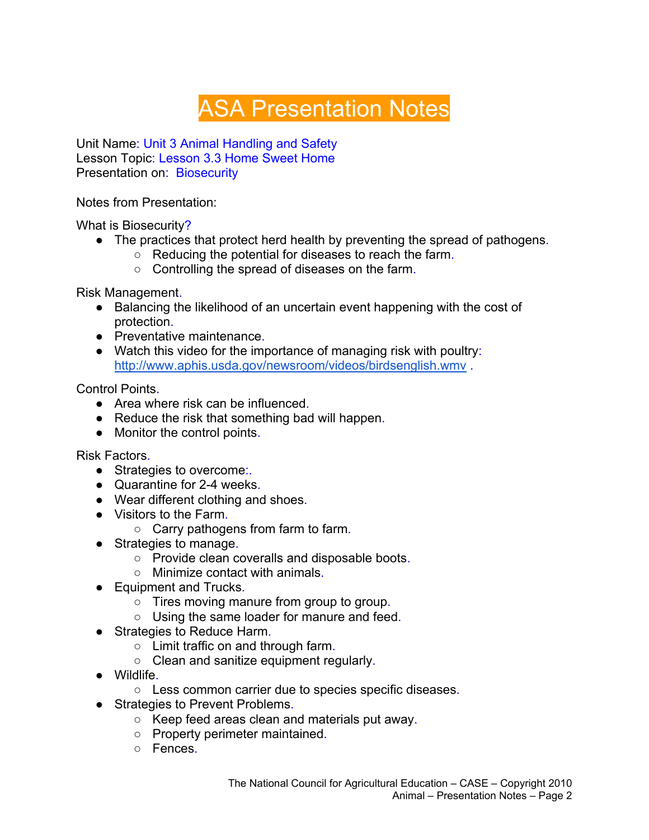## ASA Presentation Notes

Unit Name: Unit 3 Animal Handling and Safety Lesson Topic: Lesson 3.3 Home Sweet Home Presentation on: Biosecurity

Notes from Presentation:

What is Biosecurity?

- The practices that protect herd health by preventing the spread of pathogens.
	- Reducing the potential for diseases to reach the farm.
	- Controlling the spread of diseases on the farm.

Risk Management.

- Balancing the likelihood of an uncertain event happening with the cost of protection.
- Preventative maintenance
- Watch this video for the importance of managing risk with poultry: http://www.aphis.usda.gov/newsroom/videos/birdsenglish.wmv .

Control Points.

- Area where risk can be influenced.
- Reduce the risk that something bad will happen.
- Monitor the control points.

Risk Factors.

- Strategies to overcome:.
- Quarantine for 2-4 weeks.
- Wear different clothing and shoes.
- Visitors to the Farm.
	- Carry pathogens from farm to farm.
- Strategies to manage.
	- Provide clean coveralls and disposable boots.
	- Minimize contact with animals.
- Equipment and Trucks.
	- Tires moving manure from group to group.
	- Using the same loader for manure and feed.
- Strategies to Reduce Harm.
	- Limit traffic on and through farm.
	- Clean and sanitize equipment regularly.
- Wildlife.
	- Less common carrier due to species specific diseases.
- Strategies to Prevent Problems.
	- Keep feed areas clean and materials put away.
	- Property perimeter maintained.
	- Fences.